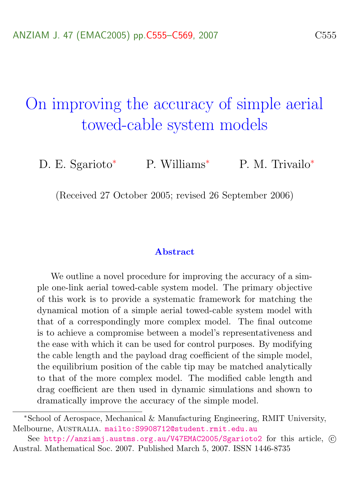# <span id="page-0-0"></span>On improving the accuracy of simple aerial towed-cable system models

D. E. Sgarioto<sup>\*</sup> P. Williams<sup>\*</sup> P. M. Trivailo<sup>\*</sup>

(Received 27 October 2005; revised 26 September 2006)

#### Abstract

We outline a novel procedure for improving the accuracy of a simple one-link aerial towed-cable system model. The primary objective of this work is to provide a systematic framework for matching the dynamical motion of a simple aerial towed-cable system model with that of a correspondingly more complex model. The final outcome is to achieve a compromise between a model's representativeness and the ease with which it can be used for control purposes. By modifying the cable length and the payload drag coefficient of the simple model, the equilibrium position of the cable tip may be matched analytically to that of the more complex model. The modified cable length and drag coefficient are then used in dynamic simulations and shown to dramatically improve the accuracy of the simple model.

<sup>∗</sup>School of Aerospace, Mechanical & Manufacturing Engineering, RMIT University, Melbourne, Australia. <mailto:S9908712@student.rmit.edu.au>

See <http://anziamj.austms.org.au/V47EMAC2005/Sgarioto2> for this article, © Austral. Mathematical Soc. 2007. Published March 5, 2007. ISSN 1446-8735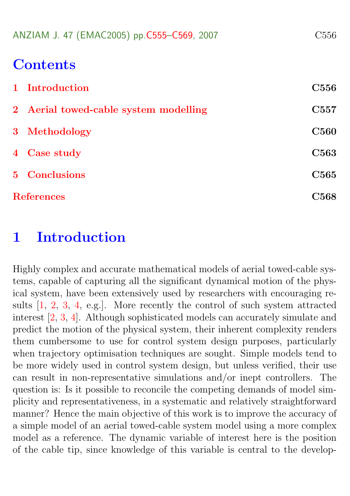<span id="page-1-1"></span>

|  |  | ANZIAM J. 47 (EMAC2005) pp.C555-C569, 2007 |  | C <sub>556</sub> |
|--|--|--------------------------------------------|--|------------------|
|--|--|--------------------------------------------|--|------------------|

### **Contents**

|                   | 1 Introduction                        | <b>C556</b>       |
|-------------------|---------------------------------------|-------------------|
|                   | 2 Aerial towed-cable system modelling | C <sub>55</sub> 7 |
|                   | 3 Methodology                         | <b>C560</b>       |
|                   | 4 Case study                          | <b>C563</b>       |
|                   | <b>5</b> Conclusions                  | <b>C565</b>       |
| <b>References</b> |                                       | C568              |

### <span id="page-1-0"></span>1 Introduction

Highly complex and accurate mathematical models of aerial towed-cable systems, capable of capturing all the significant dynamical motion of the physical system, have been extensively used by researchers with encouraging results [\[1,](#page-13-1) [2,](#page-13-2) [3,](#page-13-3) [4,](#page-14-0) e.g.]. More recently the control of such system attracted interest [\[2,](#page-13-2) [3,](#page-13-3) [4\]](#page-14-0). Although sophisticated models can accurately simulate and predict the motion of the physical system, their inherent complexity renders them cumbersome to use for control system design purposes, particularly when trajectory optimisation techniques are sought. Simple models tend to be more widely used in control system design, but unless verified, their use can result in non-representative simulations and/or inept controllers. The question is: Is it possible to reconcile the competing demands of model simplicity and representativeness, in a systematic and relatively straightforward manner? Hence the main objective of this work is to improve the accuracy of a simple model of an aerial towed-cable system model using a more complex model as a reference. The dynamic variable of interest here is the position of the cable tip, since knowledge of this variable is central to the develop-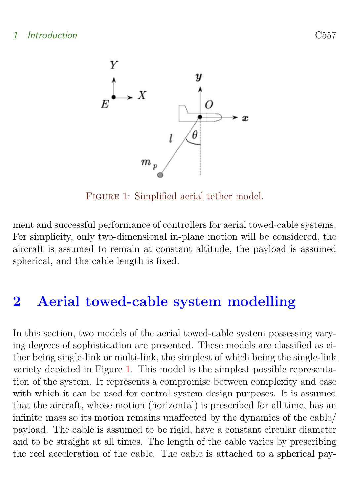

<span id="page-2-1"></span>Figure 1: Simplified aerial tether model.

ment and successful performance of controllers for aerial towed-cable systems. For simplicity, only two-dimensional in-plane motion will be considered, the aircraft is assumed to remain at constant altitude, the payload is assumed spherical, and the cable length is fixed.

# <span id="page-2-0"></span>2 Aerial towed-cable system modelling

In this section, two models of the aerial towed-cable system possessing varying degrees of sophistication are presented. These models are classified as either being single-link or multi-link, the simplest of which being the single-link variety depicted in Figure [1.](#page-2-1) This model is the simplest possible representation of the system. It represents a compromise between complexity and ease with which it can be used for control system design purposes. It is assumed that the aircraft, whose motion (horizontal) is prescribed for all time, has an infinite mass so its motion remains unaffected by the dynamics of the cable/ payload. The cable is assumed to be rigid, have a constant circular diameter and to be straight at all times. The length of the cable varies by prescribing the reel acceleration of the cable. The cable is attached to a spherical pay-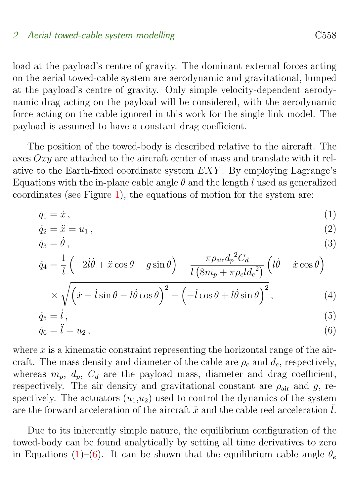#### 2 Aerial towed-cable system modelling contains the C558

load at the payload's centre of gravity. The dominant external forces acting on the aerial towed-cable system are aerodynamic and gravitational, lumped at the payload's centre of gravity. Only simple velocity-dependent aerodynamic drag acting on the payload will be considered, with the aerodynamic force acting on the cable ignored in this work for the single link model. The payload is assumed to have a constant drag coefficient.

The position of the towed-body is described relative to the aircraft. The axes  $Oxy$  are attached to the aircraft center of mass and translate with it relative to the Earth-fixed coordinate system EXY . By employing Lagrange's Equations with the in-plane cable angle  $\theta$  and the length l used as generalized coordinates (see Figure [1\)](#page-2-1), the equations of motion for the system are:

$$
\dot{q}_1 = \dot{x},\tag{1}
$$

<span id="page-3-0"></span>
$$
\dot{q}_2 = \ddot{x} = u_1 \,,\tag{2}
$$

$$
\dot{q}_3 = \dot{\theta} \,,\tag{3}
$$

$$
\dot{q}_4 = \frac{1}{l} \left( -2l\dot{\theta} + \ddot{x}\cos\theta - g\sin\theta \right) - \frac{\pi \rho_{\text{air}} d_p{}^2 C_d}{l \left( 8m_p + \pi \rho_c l d_c{}^2 \right)} \left( l\dot{\theta} - \dot{x}\cos\theta \right)
$$

$$
\times \sqrt{\left(\dot{x} - \dot{l}\sin\theta - \dot{l}\dot{\theta}\cos\theta\right)^2 + \left(-\dot{l}\cos\theta + \dot{l}\dot{\theta}\sin\theta\right)^2},\tag{4}
$$

$$
\dot{q}_5 = \dot{l},\tag{5}
$$
\n
$$
\dot{q}_5 = \ddot{l} - u_5,\tag{6}
$$

$$
\dot{q}_6 = \ddot{l} = u_2 \,,\tag{6}
$$

where  $x$  is a kinematic constraint representing the horizontal range of the aircraft. The mass density and diameter of the cable are  $\rho_c$  and  $d_c$ , respectively, whereas  $m_p$ ,  $d_p$ ,  $C_d$  are the payload mass, diameter and drag coefficient, respectively. The air density and gravitational constant are  $\rho_{\text{air}}$  and g, respectively. The actuators  $(u_1, u_2)$  used to control the dynamics of the system are the forward acceleration of the aircraft  $\ddot{x}$  and the cable reel acceleration l.

Due to its inherently simple nature, the equilibrium configuration of the towed-body can be found analytically by setting all time derivatives to zero in Equations [\(1\)](#page-3-0)–[\(6\)](#page-3-0). It can be shown that the equilibrium cable angle  $\theta_e$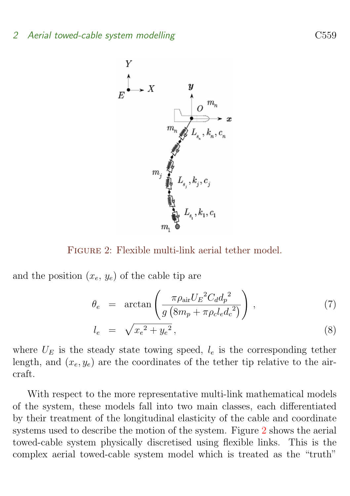

Figure 2: Flexible multi-link aerial tether model.

and the position  $(x_e, y_e)$  of the cable tip are

<span id="page-4-0"></span>
$$
\theta_e = \arctan\left(\frac{\pi \rho_{\text{air}} U_E{}^2 C_d d_p{}^2}{g\left(8m_p + \pi \rho_c l_e d_c{}^2\right)}\right),\tag{7}
$$

$$
l_e = \sqrt{x_e^2 + y_e^2}, \tag{8}
$$

where  $U_E$  is the steady state towing speed,  $l_e$  is the corresponding tether length, and  $(x_e, y_e)$  are the coordinates of the tether tip relative to the aircraft.

With respect to the more representative multi-link mathematical models of the system, these models fall into two main classes, each differentiated by their treatment of the longitudinal elasticity of the cable and coordinate systems used to describe the motion of the system. Figure [2](#page-4-0) shows the aerial towed-cable system physically discretised using flexible links. This is the complex aerial towed-cable system model which is treated as the "truth"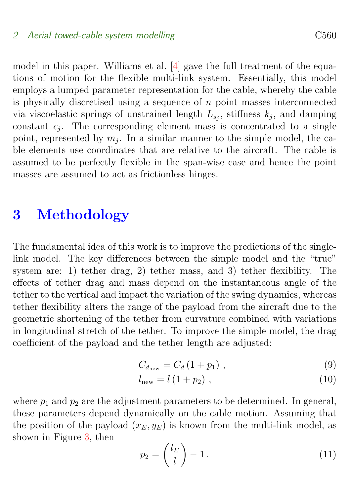#### <span id="page-5-2"></span>2 Aerial towed-cable system modelling contains the C560

model in this paper. Williams et al. [\[4\]](#page-14-0) gave the full treatment of the equations of motion for the flexible multi-link system. Essentially, this model employs a lumped parameter representation for the cable, whereby the cable is physically discretised using a sequence of  $n$  point masses interconnected via viscoelastic springs of unstrained length  $L_{s_j}$ , stiffness  $k_j$ , and damping constant  $c_j$ . The corresponding element mass is concentrated to a single point, represented by  $m_j$ . In a similar manner to the simple model, the cable elements use coordinates that are relative to the aircraft. The cable is assumed to be perfectly flexible in the span-wise case and hence the point masses are assumed to act as frictionless hinges.

### <span id="page-5-0"></span>3 Methodology

The fundamental idea of this work is to improve the predictions of the singlelink model. The key differences between the simple model and the "true" system are: 1) tether drag, 2) tether mass, and 3) tether flexibility. The effects of tether drag and mass depend on the instantaneous angle of the tether to the vertical and impact the variation of the swing dynamics, whereas tether flexibility alters the range of the payload from the aircraft due to the geometric shortening of the tether from curvature combined with variations in longitudinal stretch of the tether. To improve the simple model, the drag coefficient of the payload and the tether length are adjusted:

$$
C_{d_{\text{new}}} = C_d (1 + p_1) \tag{9}
$$

$$
l_{\text{new}} = l\left(1 + p_2\right) \,,\tag{10}
$$

where  $p_1$  and  $p_2$  are the adjustment parameters to be determined. In general, these parameters depend dynamically on the cable motion. Assuming that the position of the payload  $(x_E, y_E)$  is known from the multi-link model, as shown in Figure [3,](#page-6-0) then

<span id="page-5-1"></span>
$$
p_2 = \left(\frac{l_E}{l}\right) - 1.\tag{11}
$$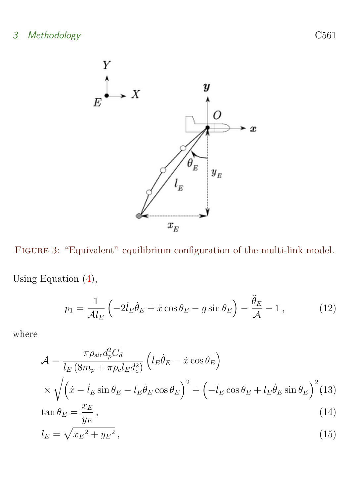

Figure 3: "Equivalent" equilibrium configuration of the multi-link model.

Using Equation [\(4\)](#page-3-0),

<span id="page-6-2"></span><span id="page-6-0"></span>
$$
p_1 = \frac{1}{\mathcal{A}l_E} \left( -2\dot{l}_E \dot{\theta}_E + \ddot{x} \cos \theta_E - g \sin \theta_E \right) - \frac{\ddot{\theta}_E}{\mathcal{A}} - 1, \qquad (12)
$$

where

<span id="page-6-1"></span>
$$
\mathcal{A} = \frac{\pi \rho_{\text{air}} d_p^2 C_d}{l_E \left( 8m_p + \pi \rho_c l_E d_c^2 \right)} \left( l_E \dot{\theta}_E - \dot{x} \cos \theta_E \right)
$$
  
 
$$
\times \sqrt{\left( \dot{x} - l_E \sin \theta_E - l_E \dot{\theta}_E \cos \theta_E \right)^2 + \left( -l_E \cos \theta_E + l_E \dot{\theta}_E \sin \theta_E \right)^2} (13)
$$
  
 
$$
\tan \theta_E = \frac{x_E}{\sqrt{1 - \left( \dot{x} - l_E \dot{\theta}_E \cos \theta_E \right)^2 + \left( -l_E \cos \theta_E + l_E \dot{\theta}_E \sin \theta_E \right)^2} (14)
$$

$$
y_E
$$
  

$$
l_E = \sqrt{x_E^2 + y_E^2},
$$
 (15)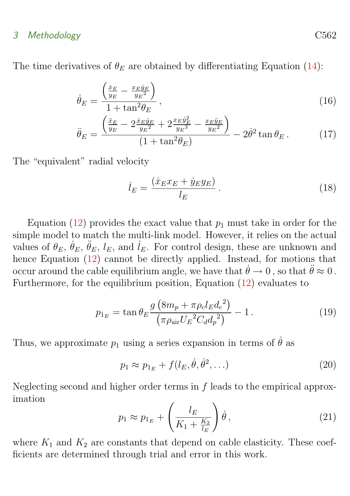#### 3 Methodology C562

The time derivatives of  $\theta_E$  are obtained by differentiating Equation [\(14\)](#page-6-1):

$$
\dot{\theta}_E = \frac{\left(\frac{\dot{x}_E}{y_E} - \frac{x_E \dot{y}_E}{y_E^2}\right)}{1 + \tan^2 \theta_E},\tag{16}
$$

$$
\ddot{\theta}_E = \frac{\left(\frac{\ddot{x}_E}{y_E} - 2\frac{\dot{x}_E \dot{y}_E}{y_E^2} + 2\frac{x_E \dot{y}_E^2}{y_E^3} - \frac{x_E \ddot{y}_E}{y_E^2}\right)}{(1 + \tan^2 \theta_E)} - 2\dot{\theta}^2 \tan \theta_E. \tag{17}
$$

The "equivalent" radial velocity

$$
\dot{l}_E = \frac{(\dot{x}_E x_E + \dot{y}_E y_E)}{l_E} \,. \tag{18}
$$

Equation [\(12\)](#page-6-2) provides the exact value that  $p_1$  must take in order for the simple model to match the multi-link model. However, it relies on the actual values of  $\theta_E$ ,  $\dot{\theta}_E$ ,  $\ddot{\theta}_E$ ,  $l_E$ , and  $\dot{l}_E$ . For control design, these are unknown and hence Equation  $(12)$  cannot be directly applied. Instead, for motions that occur around the cable equilibrium angle, we have that  $\dot{\theta} \to 0$ , so that  $\ddot{\theta} \approx 0$ . Furthermore, for the equilibrium position, Equation [\(12\)](#page-6-2) evaluates to

$$
p_{1_E} = \tan \theta_E \frac{g \left( 8m_p + \pi \rho_c l_E d_c^2 \right)}{\left( \pi \rho_{\text{air}} U_E^2 C_d d_p^2 \right)} - 1. \tag{19}
$$

Thus, we approximate  $p_1$  using a series expansion in terms of  $\dot{\theta}$  as

$$
p_1 \approx p_{1_E} + f(l_E, \dot{\theta}, \dot{\theta}^2, \ldots) \tag{20}
$$

<span id="page-7-0"></span>Neglecting second and higher order terms in f leads to the empirical approximation

$$
p_1 \approx p_{1_E} + \left(\frac{l_E}{K_1 + \frac{K_2}{l_E}}\right)\dot{\theta},\qquad(21)
$$

where  $K_1$  and  $K_2$  are constants that depend on cable elasticity. These coefficients are determined through trial and error in this work.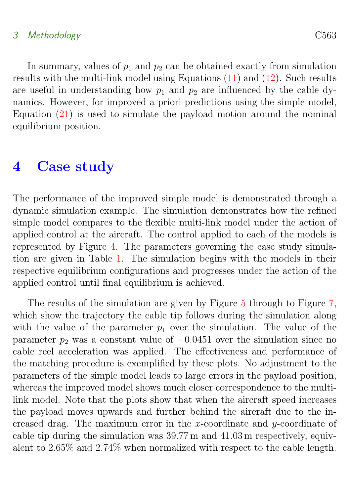### 3 Methodology C563

In summary, values of  $p_1$  and  $p_2$  can be obtained exactly from simulation results with the multi-link model using Equations [\(11\)](#page-5-1) and [\(12\)](#page-6-2). Such results are useful in understanding how  $p_1$  and  $p_2$  are influenced by the cable dynamics. However, for improved a priori predictions using the simple model, Equation [\(21\)](#page-7-0) is used to simulate the payload motion around the nominal equilibrium position.

### <span id="page-8-0"></span>4 Case study

The performance of the improved simple model is demonstrated through a dynamic simulation example. The simulation demonstrates how the refined simple model compares to the flexible multi-link model under the action of applied control at the aircraft. The control applied to each of the models is represented by Figure [4.](#page-10-1) The parameters governing the case study simulation are given in Table [1.](#page-9-0) The simulation begins with the models in their respective equilibrium configurations and progresses under the action of the applied control until final equilibrium is achieved.

The results of the simulation are given by Figure [5](#page-11-0) through to Figure [7,](#page-13-4) which show the trajectory the cable tip follows during the simulation along with the value of the parameter  $p_1$  over the simulation. The value of the parameter  $p_2$  was a constant value of  $-0.0451$  over the simulation since no cable reel acceleration was applied. The effectiveness and performance of the matching procedure is exemplified by these plots. No adjustment to the parameters of the simple model leads to large errors in the payload position, whereas the improved model shows much closer correspondence to the multilink model. Note that the plots show that when the aircraft speed increases the payload moves upwards and further behind the aircraft due to the increased drag. The maximum error in the x-coordinate and  $y$ -coordinate of cable tip during the simulation was 39.77 m and 41.03 m respectively, equivalent to 2.65% and 2.74% when normalized with respect to the cable length.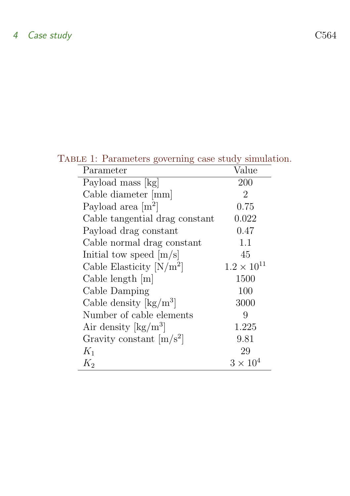<span id="page-9-0"></span>

| TABLE 1: Parameters governing case study simulation. |                      |
|------------------------------------------------------|----------------------|
| Parameter                                            | Value                |
| Payload mass [kg]                                    | 200                  |
| Cable diameter [mm]                                  | 2                    |
| Payload area $[m^2]$                                 | 0.75                 |
| Cable tangential drag constant                       | 0.022                |
| Payload drag constant                                | 0.47                 |
| Cable normal drag constant                           | 1.1                  |
| Initial tow speed $[m/s]$                            | 45                   |
| Cable Elasticity $[N/m^2]$                           | $1.2 \times 10^{11}$ |
| Cable length $[m]$                                   | 1500                 |
| Cable Damping                                        | 100                  |
| Cable density $\lceil \text{kg/m}^3 \rceil$          | 3000                 |
| Number of cable elements                             | 9                    |
| Air density $\rm [kg/m^3]$                           | 1.225                |
| Gravity constant $[m/s^2]$                           | 9.81                 |
| $K_1$                                                | 29                   |
| $K_2$                                                | $3 \times 10^4$      |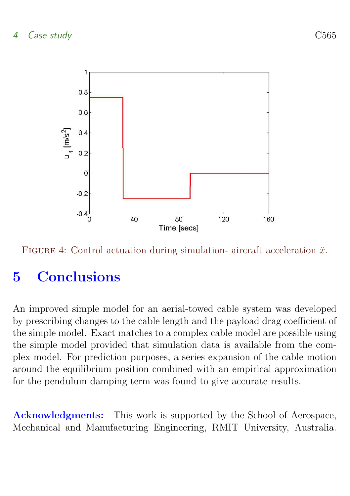

<span id="page-10-1"></span>

# <span id="page-10-0"></span>5 Conclusions

An improved simple model for an aerial-towed cable system was developed by prescribing changes to the cable length and the payload drag coefficient of the simple model. Exact matches to a complex cable model are possible using the simple model provided that simulation data is available from the complex model. For prediction purposes, a series expansion of the cable motion around the equilibrium position combined with an empirical approximation for the pendulum damping term was found to give accurate results.

Acknowledgments: This work is supported by the School of Aerospace, Mechanical and Manufacturing Engineering, RMIT University, Australia.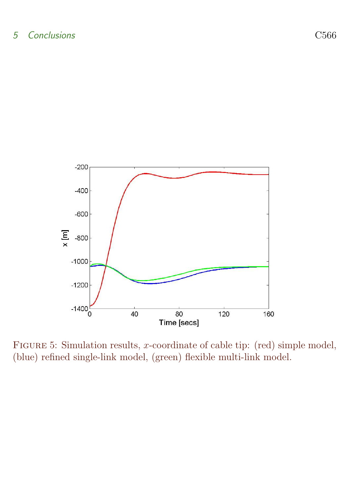

<span id="page-11-0"></span>FIGURE 5: Simulation results, x-coordinate of cable tip: (red) simple model, (blue) refined single-link model, (green) flexible multi-link model.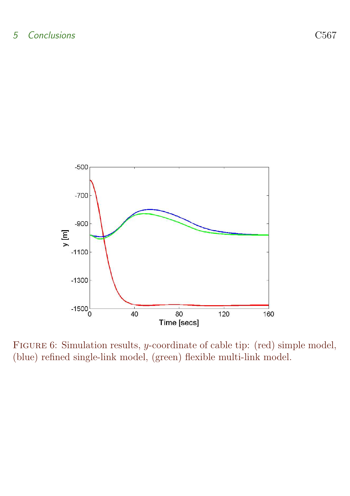

FIGURE 6: Simulation results, *y*-coordinate of cable tip: (red) simple model, (blue) refined single-link model, (green) flexible multi-link model.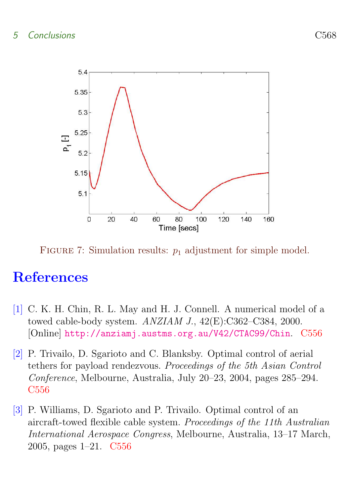

<span id="page-13-4"></span>FIGURE 7: Simulation results:  $p_1$  adjustment for simple model.

# **References**

- <span id="page-13-1"></span><span id="page-13-0"></span>[1] C. K. H. Chin, R. L. May and H. J. Connell. A numerical model of a towed cable-body system. ANZIAM J., 42(E):C362–C384, 2000. [Online] <http://anziamj.austms.org.au/V42/CTAC99/Chin>. [C556](#page-1-1)
- <span id="page-13-2"></span>[2] P. Trivailo, D. Sgarioto and C. Blanksby. Optimal control of aerial tethers for payload rendezvous. Proceedings of the 5th Asian Control Conference, Melbourne, Australia, July 20–23, 2004, pages 285–294. [C556](#page-1-1)
- <span id="page-13-3"></span>[3] P. Williams, D. Sgarioto and P. Trivailo. Optimal control of an aircraft-towed flexible cable system. Proceedings of the 11th Australian International Aerospace Congress, Melbourne, Australia, 13–17 March, 2005, pages 1–21. [C556](#page-1-1)